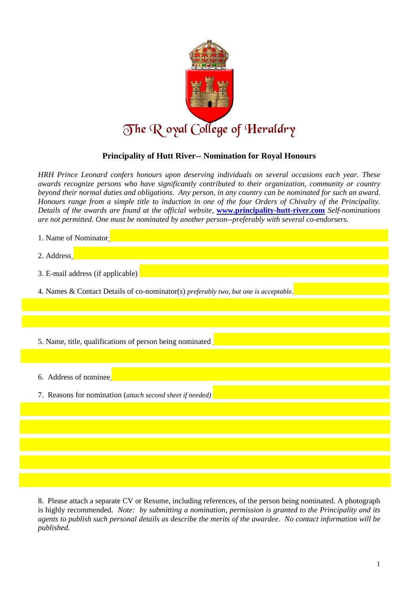

## **Principality of Hutt River-- Nomination for Royal Honours**

*HRH Prince Leonard confers honours upon deserving individuals on several occasions each year. These awards recognize persons who have significantly contributed to their organization, community or country beyond their normal duties and obligations. Any person, in any country can be nominated for such an award. Honours range from a simple title to induction in one of the four Orders of Chivalry of the Principality. Details of the awards are found at the official website,* **www.principality-hutt-river.com** *Self-nominations are not permitted. One must be nominated by another person--preferably with several co-endorsers.* 

| 1. Name of Nominator                                                                 |  |
|--------------------------------------------------------------------------------------|--|
| 2. Address                                                                           |  |
| 3. E-mail address (if applicable)                                                    |  |
| 4. Names & Contact Details of co-nominator(s) preferably two, but one is acceptable. |  |
|                                                                                      |  |
|                                                                                      |  |
| 5. Name, title, qualifications of person being nominated                             |  |
|                                                                                      |  |
| 6. Address of nominee                                                                |  |
| 7. Reasons for nomination (attach second sheet if needed)                            |  |
|                                                                                      |  |
|                                                                                      |  |
|                                                                                      |  |
|                                                                                      |  |
|                                                                                      |  |

8. Please attach a separate CV or Resume, including references, of the person being nominated. A photograph is highly recommended. *Note: by submitting a nomination, permission is granted to the Principality and its agents to publish such personal details as describe the merits of the awardee. No contact information will be published.*